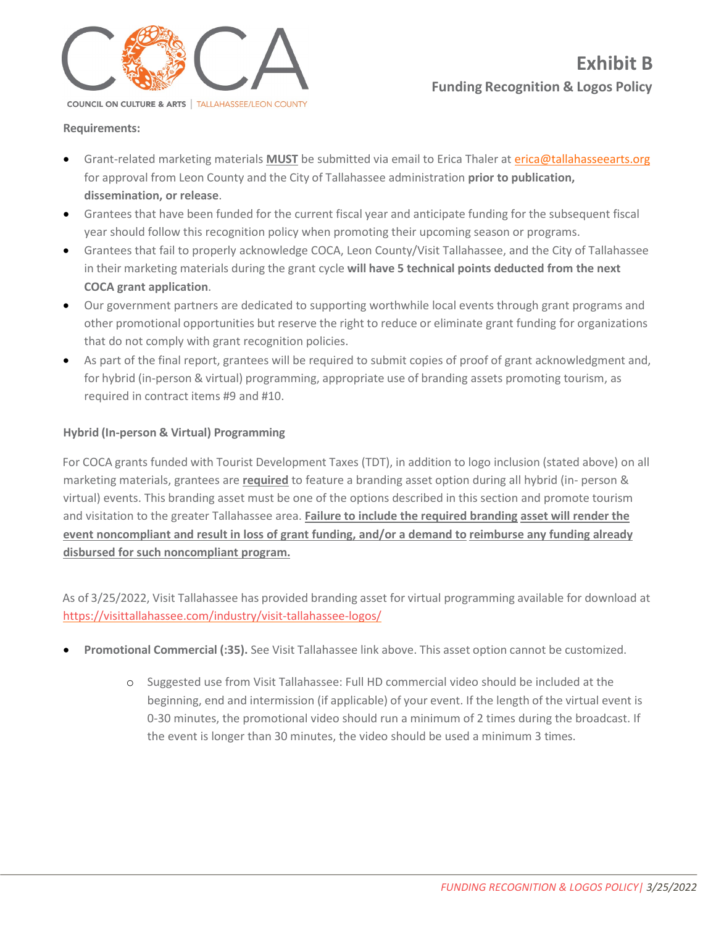

## **Requirements:**

- Grant-related marketing materials **MUST** be submitted via email to Erica Thaler at [erica@tallahasseearts.org](mailto:erica@tallahasseearts.org) for approval from Leon County and the City of Tallahassee administration **prior to publication, dissemination, or release**.
- Grantees that have been funded for the current fiscal year and anticipate funding for the subsequent fiscal year should follow this recognition policy when promoting their upcoming season or programs.
- Grantees that fail to properly acknowledge COCA, Leon County/Visit Tallahassee, and the City of Tallahassee in their marketing materials during the grant cycle **will have 5 technical points deducted from the next COCA grant application**.
- Our government partners are dedicated to supporting worthwhile local events through grant programs and other promotional opportunities but reserve the right to reduce or eliminate grant funding for organizations that do not comply with grant recognition policies.
- As part of the final report, grantees will be required to submit copies of proof of grant acknowledgment and, for hybrid (in-person & virtual) programming, appropriate use of branding assets promoting tourism, as required in contract items #9 and #10.

## **Hybrid (In-person & Virtual) Programming**

For COCA grants funded with Tourist Development Taxes (TDT), in addition to logo inclusion (stated above) on all marketing materials, grantees are **required** to feature a branding asset option during all hybrid (in- person & virtual) events. This branding asset must be one of the options described in this section and promote tourism and visitation to the greater Tallahassee area. **Failure to include the required branding asset will render the event noncompliant and result in loss of grant funding, and/or a demand to reimburse any funding already disbursed for such noncompliant program.**

As of 3/25/2022, Visit Tallahassee has provided branding asset for virtual programming available for download at <https://visittallahassee.com/industry/visit-tallahassee-logos/>

- **Promotional Commercial (:35).** See Visit Tallahassee link above. This asset option cannot be customized.
	- o Suggested use from Visit Tallahassee: Full HD commercial video should be included at the beginning, end and intermission (if applicable) of your event. If the length of the virtual event is 0-30 minutes, the promotional video should run a minimum of 2 times during the broadcast. If the event is longer than 30 minutes, the video should be used a minimum 3 times.